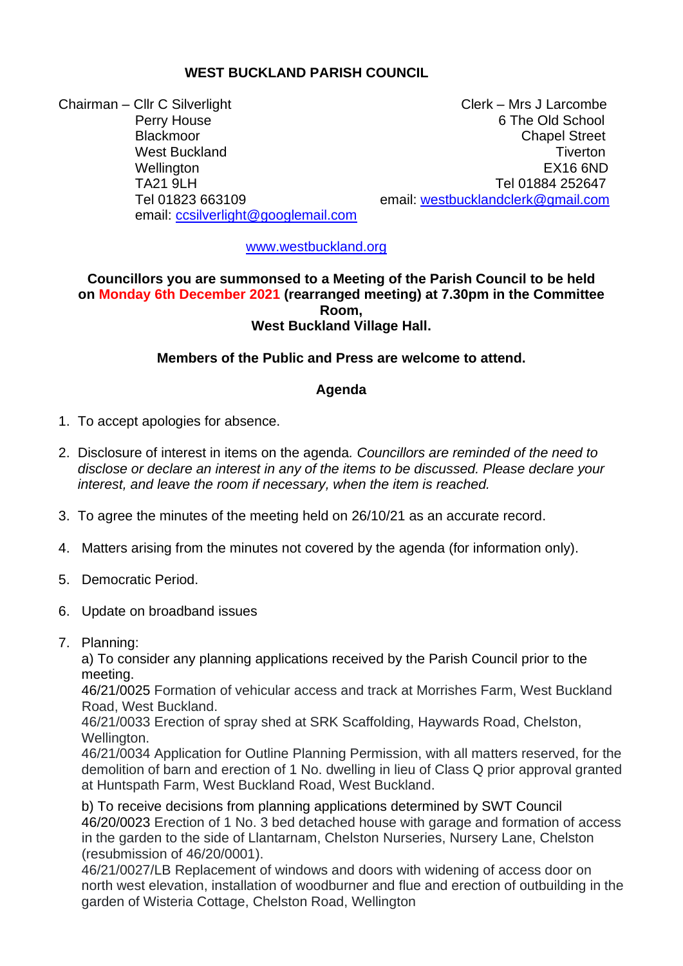# **WEST BUCKLAND PARISH COUNCIL**

Chairman – Cllr C Silverlight Chairman – Clerk – Mrs J Larcombe email: [ccsilverlight@googlemail.com](mailto:ccsilverlight@googlemail.com)

Perry House 6 The Old School Blackmoor **Chapel Street** Chapel Street **Chapel Street** West Buckland **Times Times Times Times Times Times Times Times Times Times Times Times Times Times Times Times Times Times Times Times Times Times Times Times Times Times** Wellington EX16 6ND TA21 9LH Tel 01884 252647 Tel 01823 663109 email: [westbucklandclerk@gmail.com](mailto:westbucklandclerk@gmail.com)

[www.westbuckland.org](http://www.westbuckland.org/)

# **Councillors you are summonsed to a Meeting of the Parish Council to be held on Monday 6th December 2021 (rearranged meeting) at 7.30pm in the Committee Room, West Buckland Village Hall.**

# **Members of the Public and Press are welcome to attend.**

#### **Agenda**

- 1. To accept apologies for absence.
- 2. Disclosure of interest in items on the agenda*. Councillors are reminded of the need to disclose or declare an interest in any of the items to be discussed. Please declare your interest, and leave the room if necessary, when the item is reached.*
- 3. To agree the minutes of the meeting held on 26/10/21 as an accurate record.
- 4. Matters arising from the minutes not covered by the agenda (for information only).
- 5. Democratic Period.
- 6. Update on broadband issues
- 7. Planning:

 a) To consider any planning applications received by the Parish Council prior to the meeting.

 46/21/0025 Formation of vehicular access and track at Morrishes Farm, West Buckland Road, West Buckland.

 46/21/0033 Erection of spray shed at SRK Scaffolding, Haywards Road, Chelston, Wellington.

 46/21/0034 Application for Outline Planning Permission, with all matters reserved, for the demolition of barn and erection of 1 No. dwelling in lieu of Class Q prior approval granted at Huntspath Farm, West Buckland Road, West Buckland.

 b) To receive decisions from planning applications determined by SWT Council 46/20/0023 Erection of 1 No. 3 bed detached house with garage and formation of access in the garden to the side of Llantarnam, Chelston Nurseries, Nursery Lane, Chelston (resubmission of 46/20/0001).

 46/21/0027/LB Replacement of windows and doors with widening of access door on north west elevation, installation of woodburner and flue and erection of outbuilding in the garden of Wisteria Cottage, Chelston Road, Wellington